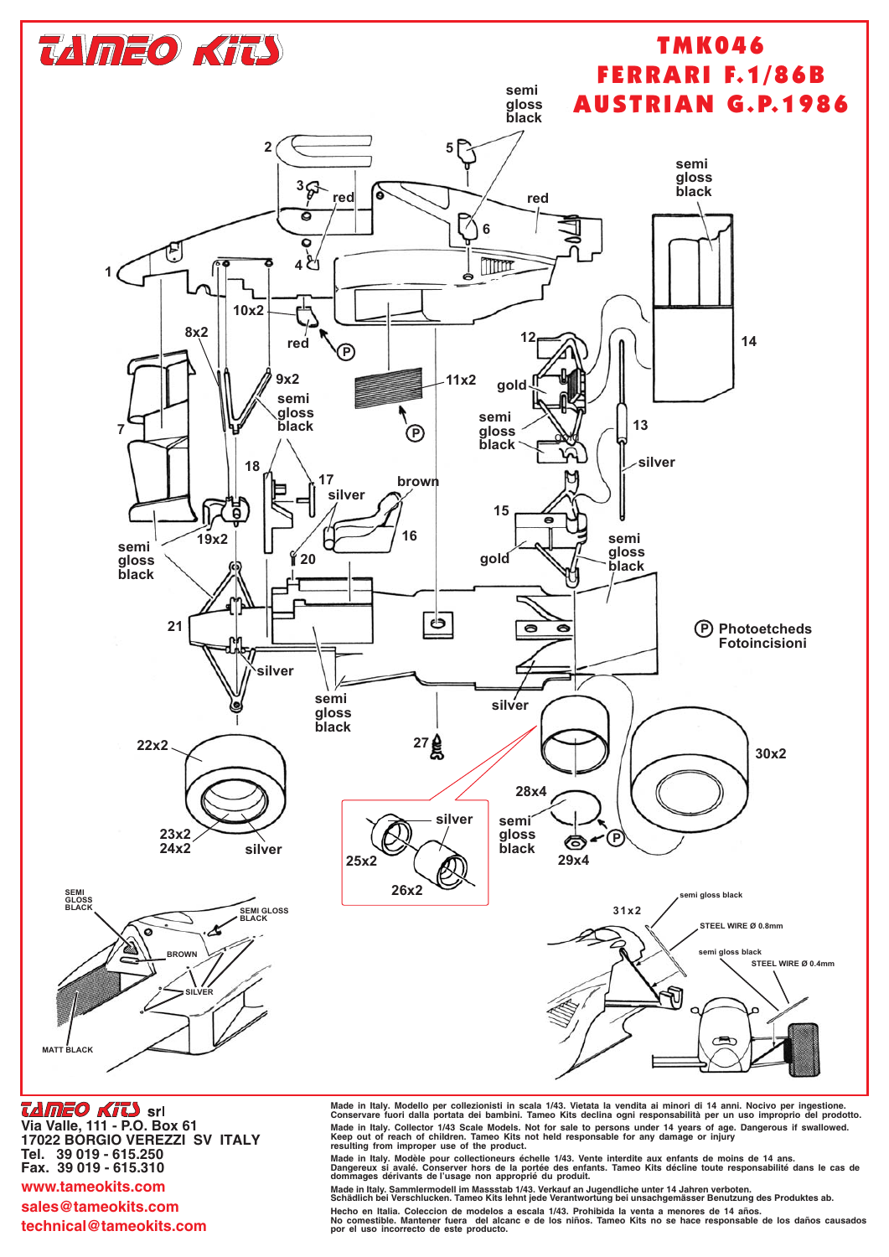

*TAMEO KITS* srl Via Valle, 111 - P.O. Box 61 17022 BORGIO VEREZZI SV ITALY Tel. 39 019 - 615.250 Fax. 39 019 - 615.310 www.tameokits.com sales@tameokits.com

technical@tameokits.com

Made in Italy. Modello per collezionisti in scala 1/43. Vietata la vendita ai minori di 14 anni. Nocivo per ingestione.<br>Conservare fuori dalla portata dei bambini. Tameo Kits declina ogni responsabilità per un uso impropri Solid in Italy. Collector 1/43 Scale Models. Not for sale to persons under 14 years of age. Dangerous if swallowed.<br>Keep out of reach of children. Tameo Kits not held responsable for any damage or injury resulting from imp

Made in Italy. Sammlermodell im Massstab 1/43. Verkauf an Jugendliche unter 14 Jahren verboten.<br>Schädlich bei Verschlucken. Tameo Kits lehnt jede Verantwortung bei unsachgemässer Benutzung des Produktes ab. Hecho en Italia. Coleccion de modelos a escala 1/43. Prohibida la venta a menores de 14 años.<br>No comestible. Mantener fuera del alcanc e de los niños. Tameo Kits no se hace responsable de los daños causados

por el uso incorrecto de este producto.